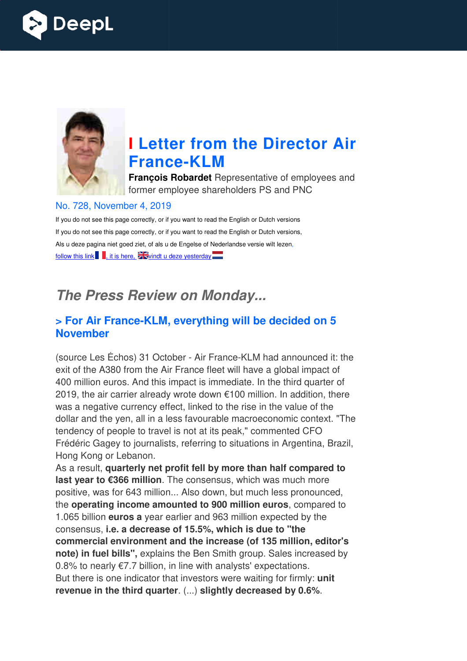



# **I Letter from the Director Air France France-KLM**

**François Robardet** Representative of employees and former employee shareholders PS and PNC

#### No. 728, November 4, 2019

If you do not see this page correctly, or if you want to read the English or Dutch versions If you do not see this page correctly, or if you want to read the English or Dutch versions, Als u deze pagina niet goed ziet, of als u de Engelse of Nederlandse versie wilt lezen, follow this link  $\blacksquare$ , it is here,  $\frac{1}{2}$  vindt u deze yesterday  $\blacksquare$ 

## *The Press Review on Monday...*

#### **> For Air France-KLM, everything will be decided on 5 November**

(source Les Échos) 31 October - Air France-KLM had announced it: the exit of the A380 from the Air France fleet will have a global impact of 400 million euros. And this impact is immediate. In the third quarter of 2019, the air carrier already wrote down €100 million. In addition, there was a negative currency effect, linked to the rise in the value of the dollar and the yen, all in a less favourable macroeconomic context. "The tendency of people to travel is not at its peak," commented CFO Frédéric Gagey to journalists, referring to situations in Argentina, Brazil, Hong Kong or Lebanon. ance-KLM<br>et will have<br>mediate. In<br>n €100 milli<br>o the rise in<br>ple macroe<br>peak," cor<br>to situation<br>**more tha**<br>sus, which<br>n, but muc

As a result, **quarterly net profit fell by more than half compared to last year to €366 million**. The consensus, which was much more positive, was for 643 million... Also down, but much less pronounced, the **operating income amounted to 900 million euros** , compared to 1.065 billion **euros a** year earlier and 963 million expected by the consensus, **i.e. a decrease of 15.5%, which is due to "the**  commercial environment and the increase (of 135 million, editor's **note) in fuel bills",** explains the Ben Smith group. Sales increased by  $0.8\%$  to nearly  $\epsilon$ 7.7 billion, in line with analysts' expectations. But there is one indicator that investors were waiting for firmly: **unit**  revenue in the third quarter. (...) slightly decreased by 0.6%. o journalists, referring to situations in Argentina, Braz<br>banon.<br>**terly net profit fell by more than half compared to<br>5 million**. The consensus, which was much more<br>643 million... Also down, but much less pronounced,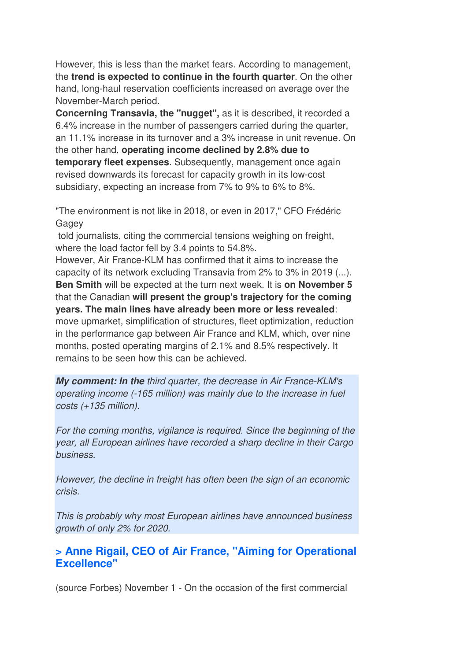However, this is less than the market fears. According to management, the **trend is expected to continue in the fourth quarter**. On the other hand, long-haul reservation coefficients increased on average over the November-March period.

**Concerning Transavia, the "nugget",** as it is described, it recorded a 6.4% increase in the number of passengers carried during the quarter, an 11.1% increase in its turnover and a 3% increase in unit revenue. On the other hand, **operating income declined by 2.8% due to temporary fleet expenses**. Subsequently, management once again revised downwards its forecast for capacity growth in its low-cost subsidiary, expecting an increase from 7% to 9% to 6% to 8%.

"The environment is not like in 2018, or even in 2017," CFO Frédéric Gagey

 told journalists, citing the commercial tensions weighing on freight, where the load factor fell by 3.4 points to 54.8%.

However, Air France-KLM has confirmed that it aims to increase the capacity of its network excluding Transavia from 2% to 3% in 2019 (...). **Ben Smith** will be expected at the turn next week. It is **on November 5** that the Canadian **will present the group's trajectory for the coming years. The main lines have already been more or less revealed**: move upmarket, simplification of structures, fleet optimization, reduction in the performance gap between Air France and KLM, which, over nine months, posted operating margins of 2.1% and 8.5% respectively. It remains to be seen how this can be achieved.

*My comment: In the* third quarter, the decrease in Air France-KLM's operating income (-165 million) was mainly due to the increase in fuel costs (+135 million).

For the coming months, vigilance is required. Since the beginning of the year, all European airlines have recorded a sharp decline in their Cargo business.

However, the decline in freight has often been the sign of an economic crisis.

This is probably why most European airlines have announced business growth of only 2% for 2020.

#### **> Anne Rigail, CEO of Air France, "Aiming for Operational Excellence"**

(source Forbes) November 1 - On the occasion of the first commercial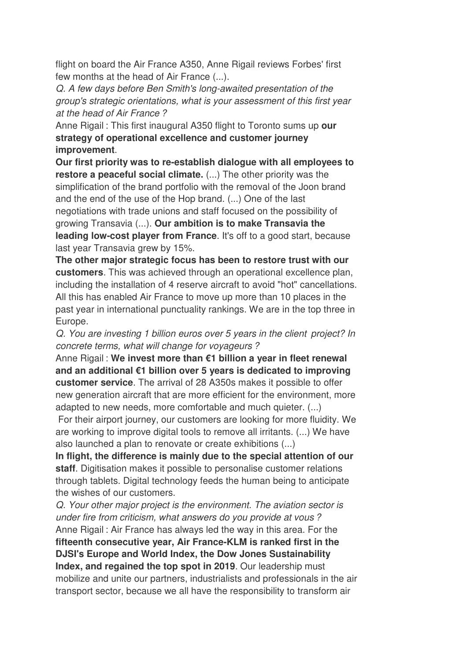flight on board the Air France A350, Anne Rigail reviews Forbes' first few months at the head of Air France (...).

Q. A few days before Ben Smith's long-awaited presentation of the group's strategic orientations, what is your assessment of this first year at the head of Air France ?

Anne Rigail : This first inaugural A350 flight to Toronto sums up **our strategy of operational excellence and customer journey improvement**.

**Our first priority was to re-establish dialogue with all employees to restore a peaceful social climate.** (...) The other priority was the simplification of the brand portfolio with the removal of the Joon brand and the end of the use of the Hop brand. (...) One of the last negotiations with trade unions and staff focused on the possibility of growing Transavia (...). **Our ambition is to make Transavia the leading low-cost player from France**. It's off to a good start, because last year Transavia grew by 15%.

**The other major strategic focus has been to restore trust with our customers**. This was achieved through an operational excellence plan, including the installation of 4 reserve aircraft to avoid "hot" cancellations. All this has enabled Air France to move up more than 10 places in the past year in international punctuality rankings. We are in the top three in Europe.

Q. You are investing 1 billion euros over 5 years in the client project? In concrete terms, what will change for voyageurs ?

Anne Rigail : **We invest more than €1 billion a year in fleet renewal and an additional €1 billion over 5 years is dedicated to improving customer service**. The arrival of 28 A350s makes it possible to offer new generation aircraft that are more efficient for the environment, more adapted to new needs, more comfortable and much quieter. (...)

 For their airport journey, our customers are looking for more fluidity. We are working to improve digital tools to remove all irritants. (...) We have also launched a plan to renovate or create exhibitions (...)

**In flight, the difference is mainly due to the special attention of our staff**. Digitisation makes it possible to personalise customer relations through tablets. Digital technology feeds the human being to anticipate the wishes of our customers.

Q. Your other major project is the environment. The aviation sector is under fire from criticism, what answers do you provide at vous ? Anne Rigail : Air France has always led the way in this area. For the **fifteenth consecutive year, Air France-KLM is ranked first in the DJSI's Europe and World Index, the Dow Jones Sustainability Index, and regained the top spot in 2019**. Our leadership must mobilize and unite our partners, industrialists and professionals in the air transport sector, because we all have the responsibility to transform air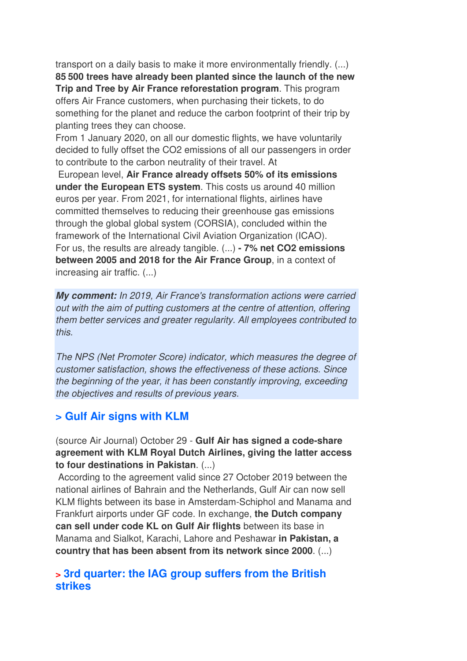transport on a daily basis to make it more environmentally friendly. (...) **85 500 trees have already been planted since the launch of the new Trip and Tree by Air France reforestation program**. This program offers Air France customers, when purchasing their tickets, to do something for the planet and reduce the carbon footprint of their trip by planting trees they can choose.

From 1 January 2020, on all our domestic flights, we have voluntarily decided to fully offset the CO2 emissions of all our passengers in order to contribute to the carbon neutrality of their travel. At

 European level, **Air France already offsets 50% of its emissions under the European ETS system**. This costs us around 40 million euros per year. From 2021, for international flights, airlines have committed themselves to reducing their greenhouse gas emissions through the global global system (CORSIA), concluded within the framework of the International Civil Aviation Organization (ICAO). For us, the results are already tangible. (...) **- 7% net CO2 emissions between 2005 and 2018 for the Air France Group**, in a context of increasing air traffic. (...)

*My comment:* In 2019, Air France's transformation actions were carried out with the aim of putting customers at the centre of attention, offering them better services and greater regularity. All employees contributed to this.

The NPS (Net Promoter Score) indicator, which measures the degree of customer satisfaction, shows the effectiveness of these actions. Since the beginning of the year, it has been constantly improving, exceeding the objectives and results of previous years.

#### **> Gulf Air signs with KLM**

(source Air Journal) October 29 - **Gulf Air has signed a code-share agreement with KLM Royal Dutch Airlines, giving the latter access to four destinations in Pakistan**. (...)

 According to the agreement valid since 27 October 2019 between the national airlines of Bahrain and the Netherlands, Gulf Air can now sell KLM flights between its base in Amsterdam-Schiphol and Manama and Frankfurt airports under GF code. In exchange, **the Dutch company can sell under code KL on Gulf Air flights** between its base in Manama and Sialkot, Karachi, Lahore and Peshawar **in Pakistan, a country that has been absent from its network since 2000**. (...)

#### **> 3rd quarter: the IAG group suffers from the British strikes**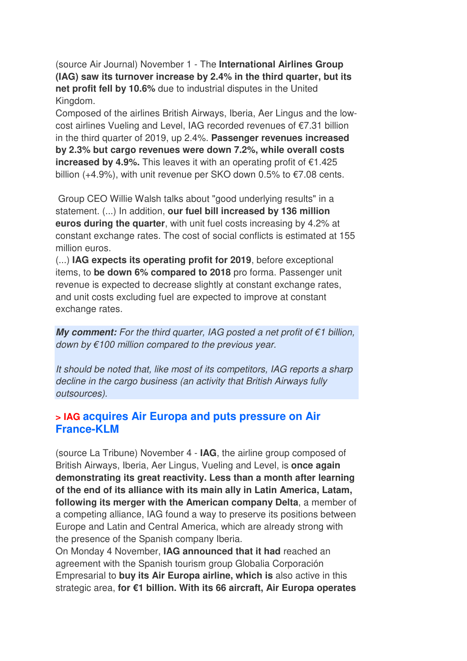(source Air Journal) November 1 - The **International Airlines Group (IAG) saw its turnover increase by 2.4% in the third quarter, but its net profit fell by 10.6%** due to industrial disputes in the United Kingdom.

Composed of the airlines British Airways, Iberia, Aer Lingus and the lowcost airlines Vueling and Level, IAG recorded revenues of €7.31 billion in the third quarter of 2019, up 2.4%. **Passenger revenues increased by 2.3% but cargo revenues were down 7.2%, while overall costs increased by 4.9%.** This leaves it with an operating profit of €1.425 billion  $(+4.9\%)$ , with unit revenue per SKO down 0.5% to  $\epsilon$ 7.08 cents.

 Group CEO Willie Walsh talks about "good underlying results" in a statement. (...) In addition, **our fuel bill increased by 136 million euros during the quarter**, with unit fuel costs increasing by 4.2% at constant exchange rates. The cost of social conflicts is estimated at 155 million euros.

(...) **IAG expects its operating profit for 2019**, before exceptional items, to **be down 6% compared to 2018** pro forma. Passenger unit revenue is expected to decrease slightly at constant exchange rates, and unit costs excluding fuel are expected to improve at constant exchange rates.

*My comment: For the third quarter, IAG posted a net profit of €1 billion,* down by  $\epsilon$ 100 million compared to the previous year.

It should be noted that, like most of its competitors, IAG reports a sharp decline in the cargo business (an activity that British Airways fully outsources).

#### **> IAG acquires Air Europa and puts pressure on Air France-KLM**

(source La Tribune) November 4 - **IAG**, the airline group composed of British Airways, Iberia, Aer Lingus, Vueling and Level, is **once again demonstrating its great reactivity. Less than a month after learning of the end of its alliance with its main ally in Latin America, Latam, following its merger with the American company Delta**, a member of a competing alliance, IAG found a way to preserve its positions between Europe and Latin and Central America, which are already strong with the presence of the Spanish company Iberia.

On Monday 4 November, **IAG announced that it had** reached an agreement with the Spanish tourism group Globalia Corporación Empresarial to **buy its Air Europa airline, which is** also active in this strategic area, **for €1 billion. With its 66 aircraft, Air Europa operates**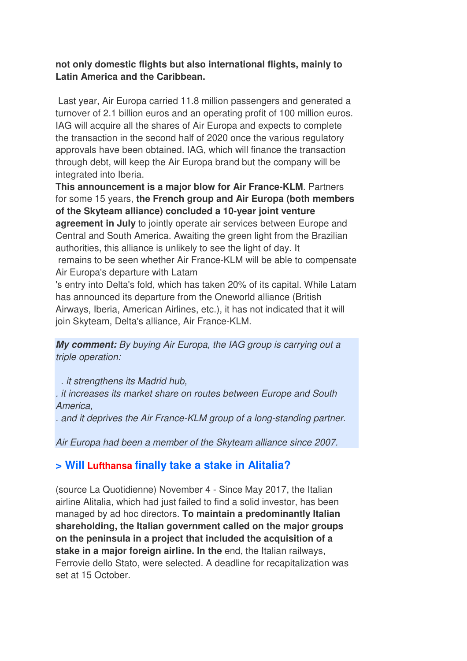#### **not only domestic flights but also international flights, mainly to Latin America and the Caribbean.**

 Last year, Air Europa carried 11.8 million passengers and generated a turnover of 2.1 billion euros and an operating profit of 100 million euros. IAG will acquire all the shares of Air Europa and expects to complete the transaction in the second half of 2020 once the various regulatory approvals have been obtained. IAG, which will finance the transaction through debt, will keep the Air Europa brand but the company will be integrated into Iberia.

**This announcement is a major blow for Air France-KLM**. Partners for some 15 years, **the French group and Air Europa (both members of the Skyteam alliance) concluded a 10-year joint venture agreement in July** to jointly operate air services between Europe and Central and South America. Awaiting the green light from the Brazilian authorities, this alliance is unlikely to see the light of day. It remains to be seen whether Air France-KLM will be able to compensate Air Europa's departure with Latam

's entry into Delta's fold, which has taken 20% of its capital. While Latam has announced its departure from the Oneworld alliance (British Airways, Iberia, American Airlines, etc.), it has not indicated that it will join Skyteam, Delta's alliance, Air France-KLM.

*My comment:* By buying Air Europa, the IAG group is carrying out a triple operation:

. it strengthens its Madrid hub,

. it increases its market share on routes between Europe and South America,

. and it deprives the Air France-KLM group of a long-standing partner.

Air Europa had been a member of the Skyteam alliance since 2007.

## **> Will Lufthansa finally take a stake in Alitalia?**

(source La Quotidienne) November 4 - Since May 2017, the Italian airline Alitalia, which had just failed to find a solid investor, has been managed by ad hoc directors. **To maintain a predominantly Italian shareholding, the Italian government called on the major groups on the peninsula in a project that included the acquisition of a stake in a major foreign airline. In the** end, the Italian railways, Ferrovie dello Stato, were selected. A deadline for recapitalization was set at 15 October.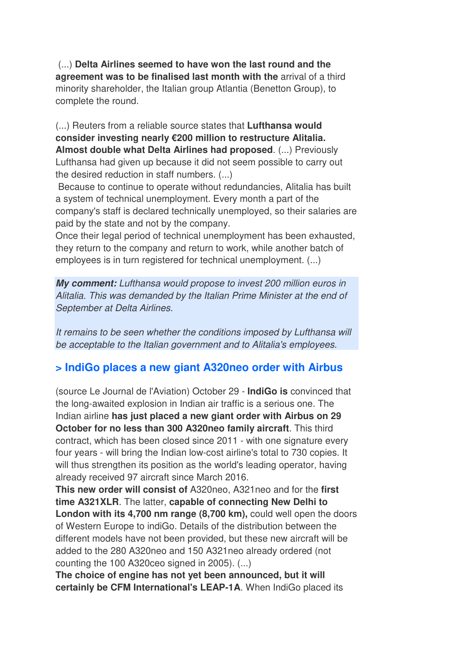(...) **Delta Airlines seemed to have won the last round and the agreement was to be finalised last month with the** arrival of a third minority shareholder, the Italian group Atlantia (Benetton Group), to complete the round.

(...) Reuters from a reliable source states that **Lufthansa would consider investing nearly €200 million to restructure Alitalia. Almost double what Delta Airlines had proposed**. (...) Previously Lufthansa had given up because it did not seem possible to carry out the desired reduction in staff numbers. (...)

 Because to continue to operate without redundancies, Alitalia has built a system of technical unemployment. Every month a part of the company's staff is declared technically unemployed, so their salaries are paid by the state and not by the company.

Once their legal period of technical unemployment has been exhausted, they return to the company and return to work, while another batch of employees is in turn registered for technical unemployment. (...)

*My comment:* Lufthansa would propose to invest 200 million euros in Alitalia. This was demanded by the Italian Prime Minister at the end of September at Delta Airlines.

It remains to be seen whether the conditions imposed by Lufthansa will be acceptable to the Italian government and to Alitalia's employees.

## **> IndiGo places a new giant A320neo order with Airbus**

(source Le Journal de l'Aviation) October 29 - **IndiGo is** convinced that the long-awaited explosion in Indian air traffic is a serious one. The Indian airline **has just placed a new giant order with Airbus on 29 October for no less than 300 A320neo family aircraft**. This third contract, which has been closed since 2011 - with one signature every four years - will bring the Indian low-cost airline's total to 730 copies. It will thus strengthen its position as the world's leading operator, having already received 97 aircraft since March 2016.

**This new order will consist of** A320neo, A321neo and for the **first time A321XLR**. The latter, **capable of connecting New Delhi to London with its 4,700 nm range (8,700 km),** could well open the doors of Western Europe to indiGo. Details of the distribution between the different models have not been provided, but these new aircraft will be added to the 280 A320neo and 150 A321neo already ordered (not counting the 100 A320ceo signed in 2005). (...)

**The choice of engine has not yet been announced, but it will certainly be CFM International's LEAP-1A**. When IndiGo placed its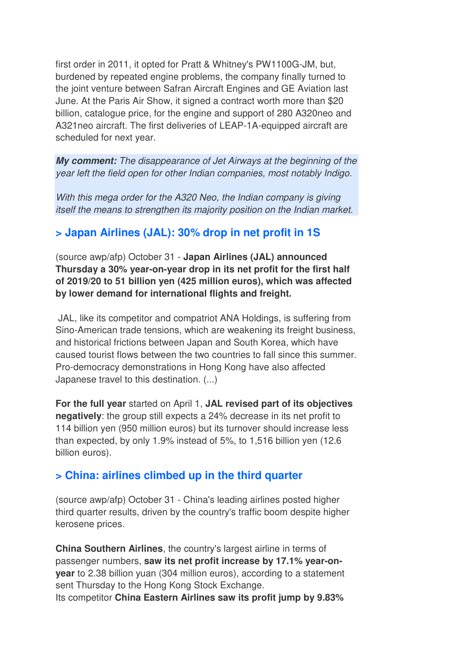first order in 2011, it opted for Pratt & Whitney's PW1100G-JM, but, burdened by repeated engine problems, the company finally turned to the joint venture between Safran Aircraft Engines and GE Aviation last June. At the Paris Air Show, it signed a contract worth more than \$20 billion, catalogue price, for the engine and support of 280 A320neo and A321neo aircraft. The first deliveries of LEAP-1A-equipped aircraft are scheduled for next year.

*My comment:* The disappearance of Jet Airways at the beginning of the year left the field open for other Indian companies, most notably Indigo.

With this mega order for the A320 Neo, the Indian company is giving itself the means to strengthen its majority position on the Indian market.

### **> Japan Airlines (JAL): 30% drop in net profit in 1S**

(source awp/afp) October 31 - **Japan Airlines (JAL) announced Thursday a 30% year-on-year drop in its net profit for the first half of 2019/20 to 51 billion yen (425 million euros), which was affected by lower demand for international flights and freight.** 

 JAL, like its competitor and compatriot ANA Holdings, is suffering from Sino-American trade tensions, which are weakening its freight business, and historical frictions between Japan and South Korea, which have caused tourist flows between the two countries to fall since this summer. Pro-democracy demonstrations in Hong Kong have also affected Japanese travel to this destination. (...)

**For the full year** started on April 1, **JAL revised part of its objectives negatively**: the group still expects a 24% decrease in its net profit to 114 billion yen (950 million euros) but its turnover should increase less than expected, by only 1.9% instead of 5%, to 1,516 billion yen (12.6 billion euros).

## **> China: airlines climbed up in the third quarter**

(source awp/afp) October 31 - China's leading airlines posted higher third quarter results, driven by the country's traffic boom despite higher kerosene prices.

**China Southern Airlines**, the country's largest airline in terms of passenger numbers, **saw its net profit increase by 17.1% year-onyear** to 2.38 billion yuan (304 million euros), according to a statement sent Thursday to the Hong Kong Stock Exchange. Its competitor **China Eastern Airlines saw its profit jump by 9.83%**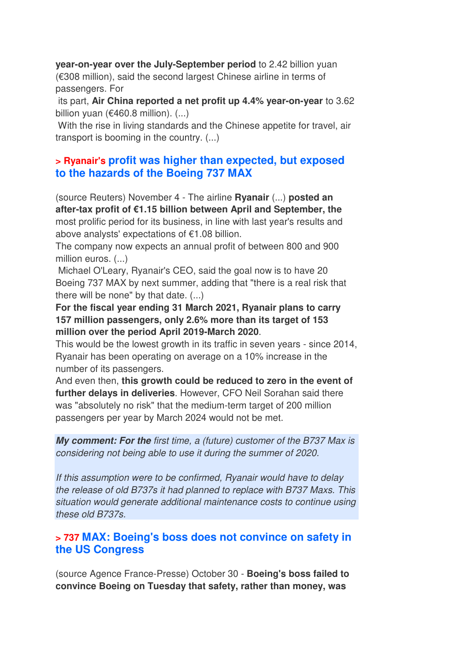**year-on-year over the July-September period** to 2.42 billion yuan (€308 million), said the second largest Chinese airline in terms of passengers. For

 its part, **Air China reported a net profit up 4.4% year-on-year** to 3.62 billion yuan ( $€460.8$  million).  $(...)$ 

 With the rise in living standards and the Chinese appetite for travel, air transport is booming in the country. (...)

#### **> Ryanair's profit was higher than expected, but exposed to the hazards of the Boeing 737 MAX**

(source Reuters) November 4 - The airline **Ryanair** (...) **posted an after-tax profit of €1.15 billion between April and September, the** most prolific period for its business, in line with last year's results and above analysts' expectations of €1.08 billion.

The company now expects an annual profit of between 800 and 900 million euros. (...)

 Michael O'Leary, Ryanair's CEO, said the goal now is to have 20 Boeing 737 MAX by next summer, adding that "there is a real risk that there will be none" by that date. (...)

**For the fiscal year ending 31 March 2021, Ryanair plans to carry 157 million passengers, only 2.6% more than its target of 153 million over the period April 2019-March 2020**.

This would be the lowest growth in its traffic in seven years - since 2014, Ryanair has been operating on average on a 10% increase in the number of its passengers.

And even then, **this growth could be reduced to zero in the event of further delays in deliveries**. However, CFO Neil Sorahan said there was "absolutely no risk" that the medium-term target of 200 million passengers per year by March 2024 would not be met.

*My comment: For the* first time, a (future) customer of the B737 Max is considering not being able to use it during the summer of 2020.

If this assumption were to be confirmed, Ryanair would have to delay the release of old B737s it had planned to replace with B737 Maxs. This situation would generate additional maintenance costs to continue using these old B737s.

#### **> 737 MAX: Boeing's boss does not convince on safety in the US Congress**

(source Agence France-Presse) October 30 - **Boeing's boss failed to convince Boeing on Tuesday that safety, rather than money, was**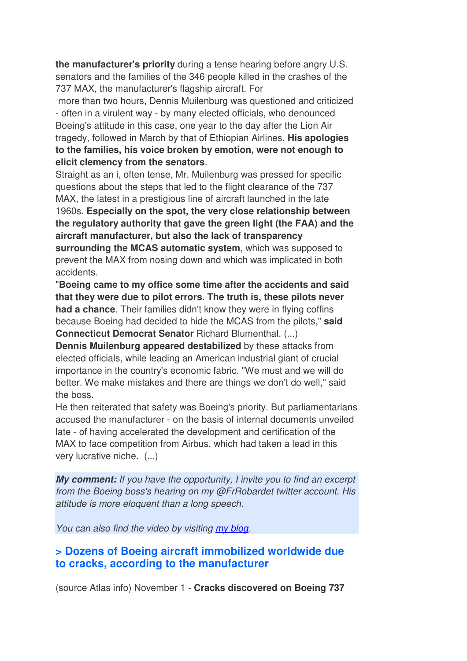**the manufacturer's priority** during a tense hearing before angry U.S. senators and the families of the 346 people killed in the crashes of the 737 MAX, the manufacturer's flagship aircraft. For

 more than two hours, Dennis Muilenburg was questioned and criticized - often in a virulent way - by many elected officials, who denounced Boeing's attitude in this case, one year to the day after the Lion Air tragedy, followed in March by that of Ethiopian Airlines. **His apologies to the families, his voice broken by emotion, were not enough to elicit clemency from the senators**.

Straight as an i, often tense, Mr. Muilenburg was pressed for specific questions about the steps that led to the flight clearance of the 737 MAX, the latest in a prestigious line of aircraft launched in the late 1960s. **Especially on the spot, the very close relationship between the regulatory authority that gave the green light (the FAA) and the aircraft manufacturer, but also the lack of transparency surrounding the MCAS automatic system**, which was supposed to prevent the MAX from nosing down and which was implicated in both accidents.

"**Boeing came to my office some time after the accidents and said that they were due to pilot errors. The truth is, these pilots never had a chance**. Their families didn't know they were in flying coffins because Boeing had decided to hide the MCAS from the pilots," **said Connecticut Democrat Senator** Richard Blumenthal. (...)

**Dennis Muilenburg appeared destabilized** by these attacks from elected officials, while leading an American industrial giant of crucial importance in the country's economic fabric. "We must and we will do better. We make mistakes and there are things we don't do well," said the boss.

He then reiterated that safety was Boeing's priority. But parliamentarians accused the manufacturer - on the basis of internal documents unveiled late - of having accelerated the development and certification of the MAX to face competition from Airbus, which had taken a lead in this very lucrative niche. (...)

*My comment:* If you have the opportunity, I invite you to find an excerpt from the Boeing boss's hearing on my @FrRobardet twitter account. His attitude is more eloquent than a long speech.

You can also find the video by visiting my blog.

#### **> Dozens of Boeing aircraft immobilized worldwide due to cracks, according to the manufacturer**

(source Atlas info) November 1 - **Cracks discovered on Boeing 737**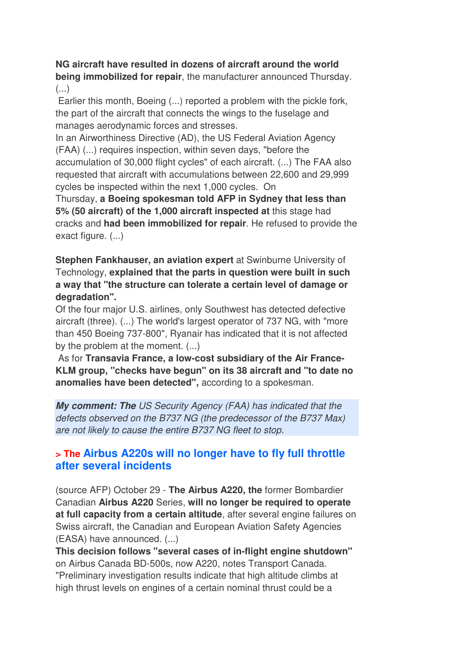#### **NG aircraft have resulted in dozens of aircraft around the world being immobilized for repair**, the manufacturer announced Thursday. (...)

 Earlier this month, Boeing (...) reported a problem with the pickle fork, the part of the aircraft that connects the wings to the fuselage and manages aerodynamic forces and stresses.

In an Airworthiness Directive (AD), the US Federal Aviation Agency (FAA) (...) requires inspection, within seven days, "before the accumulation of 30,000 flight cycles" of each aircraft. (...) The FAA also requested that aircraft with accumulations between 22,600 and 29,999 cycles be inspected within the next 1,000 cycles. On

Thursday, **a Boeing spokesman told AFP in Sydney that less than 5% (50 aircraft) of the 1,000 aircraft inspected at** this stage had cracks and **had been immobilized for repair**. He refused to provide the exact figure. (...)

**Stephen Fankhauser, an aviation expert** at Swinburne University of Technology, **explained that the parts in question were built in such a way that "the structure can tolerate a certain level of damage or degradation".** 

Of the four major U.S. airlines, only Southwest has detected defective aircraft (three). (...) The world's largest operator of 737 NG, with "more than 450 Boeing 737-800", Ryanair has indicated that it is not affected by the problem at the moment. (...)

 As for **Transavia France, a low-cost subsidiary of the Air France-KLM group, "checks have begun" on its 38 aircraft and "to date no anomalies have been detected",** according to a spokesman.

*My comment: The* US Security Agency (FAA) has indicated that the defects observed on the B737 NG (the predecessor of the B737 Max) are not likely to cause the entire B737 NG fleet to stop.

### **> The Airbus A220s will no longer have to fly full throttle after several incidents**

(source AFP) October 29 - **The Airbus A220, the** former Bombardier Canadian **Airbus A220** Series, **will no longer be required to operate at full capacity from a certain altitude**, after several engine failures on Swiss aircraft, the Canadian and European Aviation Safety Agencies (EASA) have announced. (...)

**This decision follows "several cases of in-flight engine shutdown"** on Airbus Canada BD-500s, now A220, notes Transport Canada. "Preliminary investigation results indicate that high altitude climbs at high thrust levels on engines of a certain nominal thrust could be a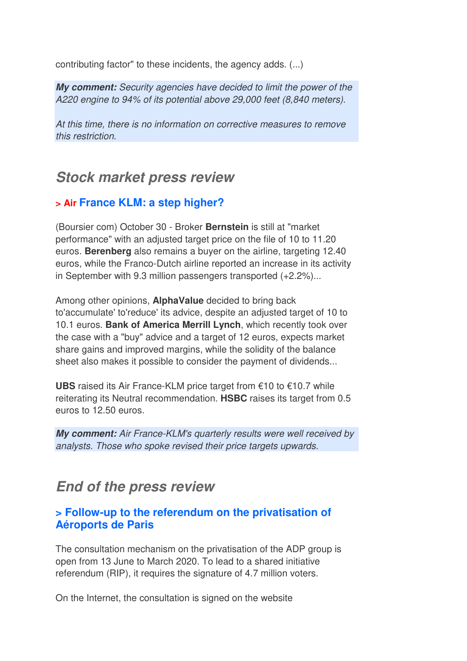contributing factor" to these incidents, the agency adds. (...)

*My comment:* Security agencies have decided to limit the power of the A220 engine to 94% of its potential above 29,000 feet (8,840 meters).

At this time, there is no information on corrective measures to remove this restriction.

## *Stock market press review*

### **> Air France KLM: a step higher?**

(Boursier com) October 30 - Broker **Bernstein** is still at "market performance" with an adjusted target price on the file of 10 to 11.20 euros. **Berenberg** also remains a buyer on the airline, targeting 12.40 euros, while the Franco-Dutch airline reported an increase in its activity in September with 9.3 million passengers transported (+2.2%)...

Among other opinions, **AlphaValue** decided to bring back to'accumulate' to'reduce' its advice, despite an adjusted target of 10 to 10.1 euros. **Bank of America Merrill Lynch**, which recently took over the case with a "buy" advice and a target of 12 euros, expects market share gains and improved margins, while the solidity of the balance sheet also makes it possible to consider the payment of dividends...

**UBS** raised its Air France-KLM price target from €10 to €10.7 while reiterating its Neutral recommendation. **HSBC** raises its target from 0.5 euros to 12.50 euros.

*My comment:* Air France-KLM's quarterly results were well received by analysts. Those who spoke revised their price targets upwards.

## *End of the press review*

#### **> Follow-up to the referendum on the privatisation of Aéroports de Paris**

The consultation mechanism on the privatisation of the ADP group is open from 13 June to March 2020. To lead to a shared initiative referendum (RIP), it requires the signature of 4.7 million voters.

On the Internet, the consultation is signed on the website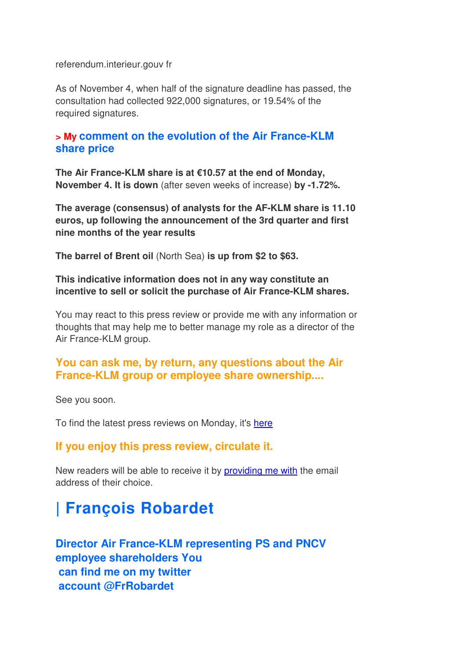referendum.interieur.gouv fr

As of November 4, when half of the signature deadline has passed, the consultation had collected 922,000 signatures, or 19.54% of the required signatures.

#### **> My comment on the evolution of the Air France-KLM share price**

**The Air France-KLM share is at €10.57 at the end of Monday, November 4. It is down** (after seven weeks of increase) **by -1.72%.** 

**The average (consensus) of analysts for the AF-KLM share is 11.10 euros, up following the announcement of the 3rd quarter and first nine months of the year results**

**The barrel of Brent oil** (North Sea) **is up from \$2 to \$63.**

#### **This indicative information does not in any way constitute an incentive to sell or solicit the purchase of Air France-KLM shares.**

You may react to this press review or provide me with any information or thoughts that may help me to better manage my role as a director of the Air France-KLM group.

#### **You can ask me, by return, any questions about the Air France-KLM group or employee share ownership....**

See you soon.

To find the latest press reviews on Monday, it's here

#### **If you enjoy this press review, circulate it.**

New readers will be able to receive it by providing me with the email address of their choice.

# **| François Robardet**

**Director Air France-KLM representing PS and PNCV employee shareholders You can find me on my twitter account @FrRobardet**